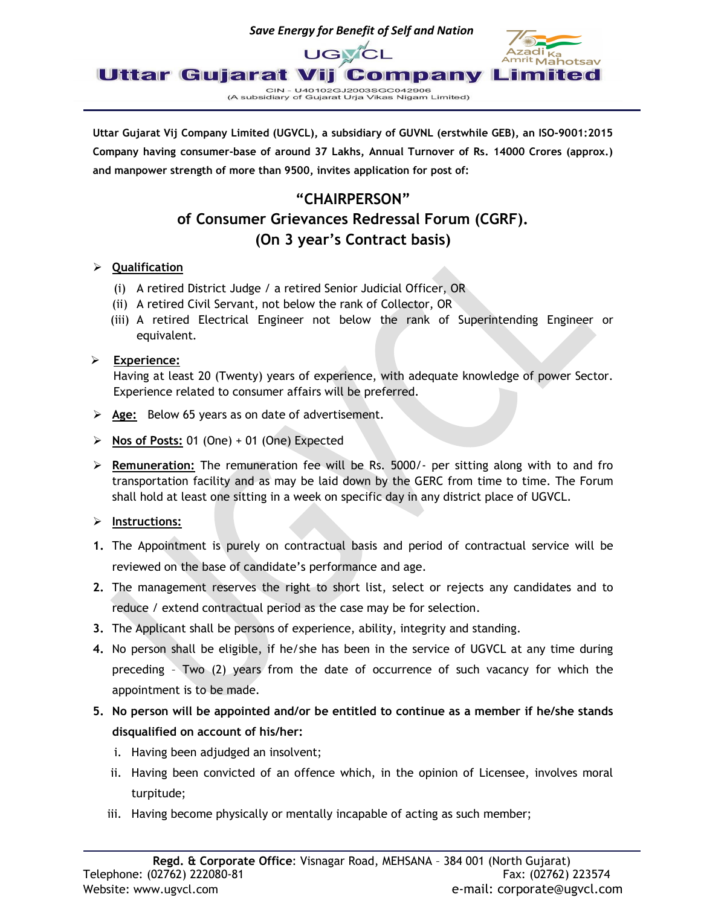

Uttar Gujarat Vij Company Limited (UGVCL), a subsidiary of GUVNL (erstwhile GEB), an ISO-9001:2015 Company having consumer-base of around 37 Lakhs, Annual Turnover of Rs. 14000 Crores (approx.) and manpower strength of more than 9500, invites application for post of:

## "CHAIRPERSON" of Consumer Grievances Redressal Forum (CGRF). (On 3 year's Contract basis)

### > Qualification

- (i) A retired District Judge / a retired Senior Judicial Officer, OR
- (ii) A retired Civil Servant, not below the rank of Collector, OR
- (iii) A retired Electrical Engineer not below the rank of Superintending Engineer or equivalent.

#### $\triangleright$  Experience:

Having at least 20 (Twenty) years of experience, with adequate knowledge of power Sector. Experience related to consumer affairs will be preferred.

- $\triangleright$  Age: Below 65 years as on date of advertisement.
- $\triangleright$  Nos of Posts: 01 (One) + 01 (One) Expected
- $\triangleright$  Remuneration: The remuneration fee will be Rs. 5000/- per sitting along with to and fro transportation facility and as may be laid down by the GERC from time to time. The Forum shall hold at least one sitting in a week on specific day in any district place of UGVCL.

#### $\triangleright$  Instructions:

- 1. The Appointment is purely on contractual basis and period of contractual service will be reviewed on the base of candidate's performance and age.
- 2. The management reserves the right to short list, select or rejects any candidates and to reduce / extend contractual period as the case may be for selection.
- 3. The Applicant shall be persons of experience, ability, integrity and standing.
- 4. No person shall be eligible, if he/she has been in the service of UGVCL at any time during preceding – Two (2) years from the date of occurrence of such vacancy for which the appointment is to be made.
- 5. No person will be appointed and/or be entitled to continue as a member if he/she stands disqualified on account of his/her:
	- i. Having been adjudged an insolvent;
	- ii. Having been convicted of an offence which, in the opinion of Licensee, involves moral turpitude;
	- iii. Having become physically or mentally incapable of acting as such member;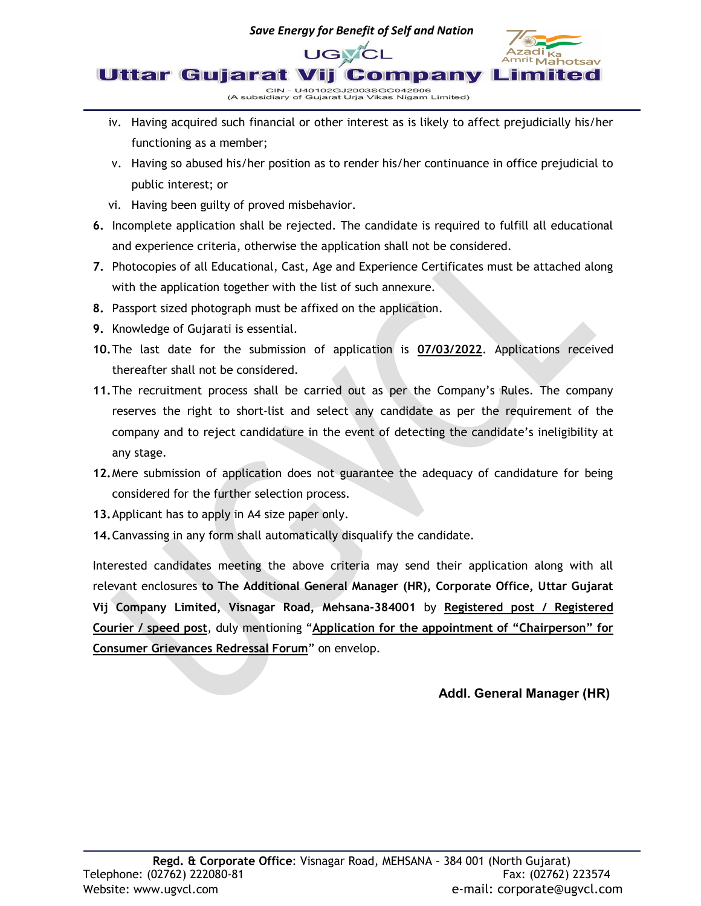

- iv. Having acquired such financial or other interest as is likely to affect prejudicially his/her functioning as a member;
- v. Having so abused his/her position as to render his/her continuance in office prejudicial to public interest; or
- vi. Having been guilty of proved misbehavior.
- 6. Incomplete application shall be rejected. The candidate is required to fulfill all educational and experience criteria, otherwise the application shall not be considered.
- 7. Photocopies of all Educational, Cast, Age and Experience Certificates must be attached along with the application together with the list of such annexure.
- 8. Passport sized photograph must be affixed on the application.
- 9. Knowledge of Gujarati is essential.
- 10.The last date for the submission of application is 07/03/2022. Applications received thereafter shall not be considered.
- 11. The recruitment process shall be carried out as per the Company's Rules. The company reserves the right to short-list and select any candidate as per the requirement of the company and to reject candidature in the event of detecting the candidate's ineligibility at any stage.
- 12.Mere submission of application does not guarantee the adequacy of candidature for being considered for the further selection process.
- 13.Applicant has to apply in A4 size paper only.
- 14. Canvassing in any form shall automatically disqualify the candidate.

Interested candidates meeting the above criteria may send their application along with all relevant enclosures to The Additional General Manager (HR), Corporate Office, Uttar Gujarat Vij Company Limited, Visnagar Road, Mehsana-384001 by Registered post / Registered Courier / speed post, duly mentioning "Application for the appointment of "Chairperson" for Consumer Grievances Redressal Forum" on envelop.

Addl. General Manager (HR)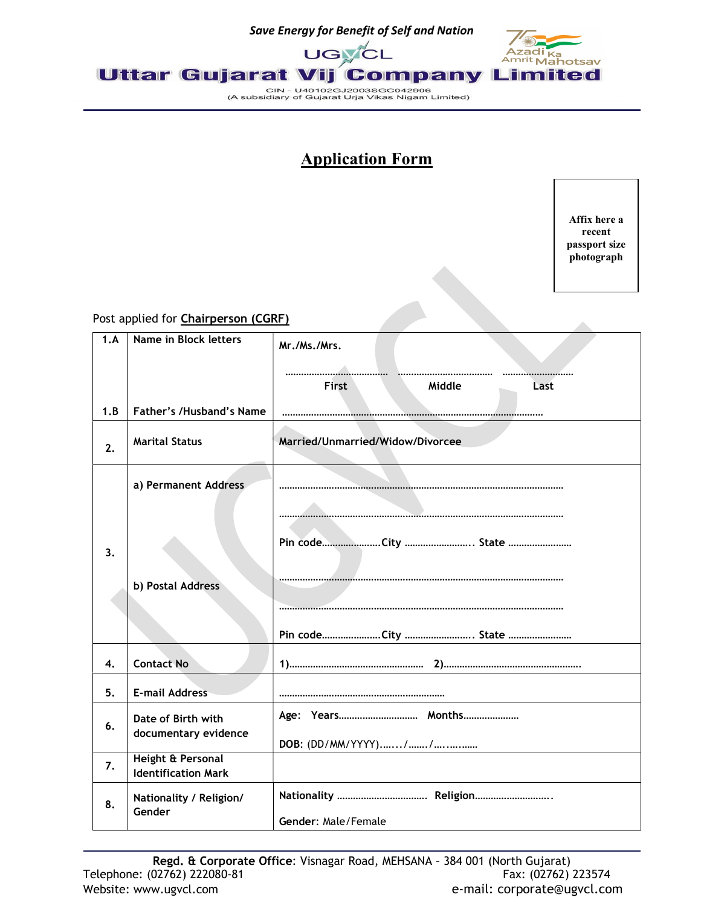

# Application Form

Affix here a recent passport size photograph

#### Post applied for **Chairperson (CGRF)**

| roscapplica for <b>chairperson (com</b> )<br>1.A | Name in Block letters      |                                  |  |  |
|--------------------------------------------------|----------------------------|----------------------------------|--|--|
|                                                  |                            | Mr./Ms./Mrs.                     |  |  |
|                                                  |                            |                                  |  |  |
|                                                  |                            | Middle<br>First<br>Last          |  |  |
|                                                  |                            |                                  |  |  |
| 1.B                                              | Father's /Husband's Name   |                                  |  |  |
| 2.                                               | <b>Marital Status</b>      | Married/Unmarried/Widow/Divorcee |  |  |
|                                                  |                            |                                  |  |  |
|                                                  | a) Permanent Address       |                                  |  |  |
|                                                  |                            |                                  |  |  |
|                                                  |                            |                                  |  |  |
| 3.                                               |                            |                                  |  |  |
|                                                  |                            |                                  |  |  |
|                                                  | b) Postal Address          |                                  |  |  |
|                                                  |                            |                                  |  |  |
|                                                  |                            |                                  |  |  |
|                                                  |                            | Pin codeCity  State              |  |  |
|                                                  |                            |                                  |  |  |
| 4.                                               | <b>Contact No</b>          |                                  |  |  |
| 5.                                               | <b>E-mail Address</b>      |                                  |  |  |
|                                                  |                            | Age: Years Months                |  |  |
| 6.                                               | Date of Birth with         |                                  |  |  |
|                                                  | documentary evidence       |                                  |  |  |
| 7.                                               | Height & Personal          |                                  |  |  |
|                                                  | <b>Identification Mark</b> |                                  |  |  |
|                                                  |                            |                                  |  |  |
|                                                  | Nationality / Religion/    | Nationality  Religion            |  |  |
| 8.                                               | Gender                     | Gender: Male/Female              |  |  |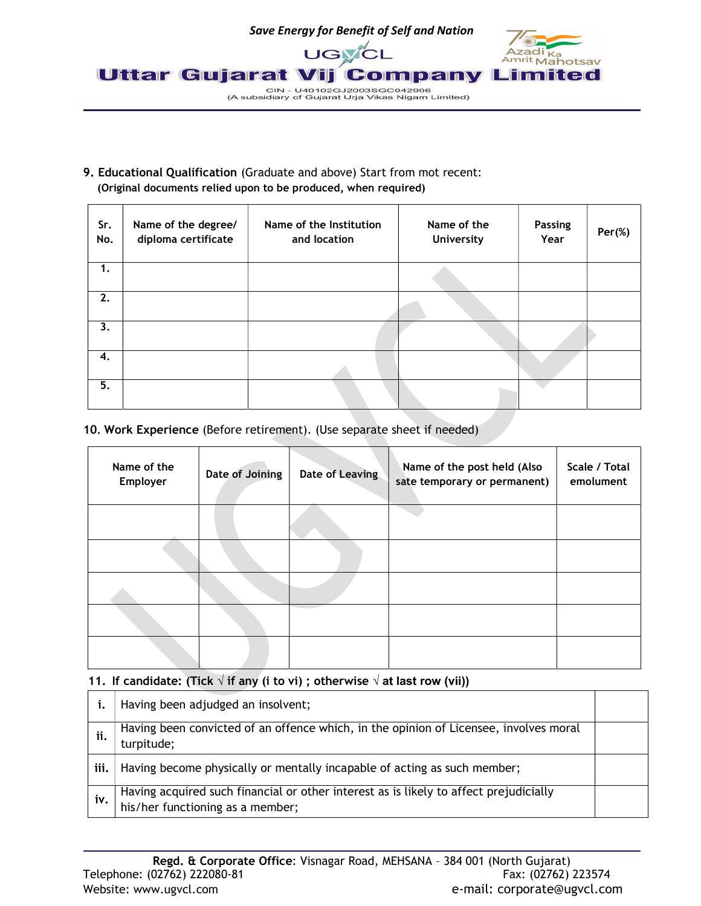

#### 9. Educational Qualification (Graduate and above) Start from mot recent: (Original documents relied upon to be produced, when required)

| Sr.<br>No. | Name of the degree/<br>diploma certificate | Name of the Institution<br>and location | Name of the<br><b>University</b> | <b>Passing</b><br>Year | $Per(\%)$ |
|------------|--------------------------------------------|-----------------------------------------|----------------------------------|------------------------|-----------|
| 1.         |                                            |                                         |                                  |                        |           |
| 2.         |                                            |                                         |                                  |                        |           |
| 3.         |                                            |                                         |                                  |                        |           |
| 4.         |                                            |                                         |                                  |                        |           |
| 5.         |                                            |                                         |                                  |                        |           |

#### 10. Work Experience (Before retirement). (Use separate sheet if needed)

| Name of the<br>Employer | Date of Joining | <b>Date of Leaving</b> | Name of the post held (Also<br>sate temporary or permanent) | Scale / Total<br>emolument |
|-------------------------|-----------------|------------------------|-------------------------------------------------------------|----------------------------|
|                         |                 |                        |                                                             |                            |
|                         |                 |                        |                                                             |                            |
|                         |                 |                        |                                                             |                            |
|                         |                 |                        |                                                             |                            |
|                         |                 |                        |                                                             |                            |

#### 11. If candidate: (Tick  $\sqrt{ }$  if any (i to vi); otherwise  $\sqrt{ }$  at last row (vii))

|      | Having been adjudged an insolvent;                                                                                        |  |
|------|---------------------------------------------------------------------------------------------------------------------------|--|
|      | Having been convicted of an offence which, in the opinion of Licensee, involves moral<br>turpitude;                       |  |
| iii. | Having become physically or mentally incapable of acting as such member;                                                  |  |
| iv.  | Having acquired such financial or other interest as is likely to affect prejudicially<br>his/her functioning as a member; |  |